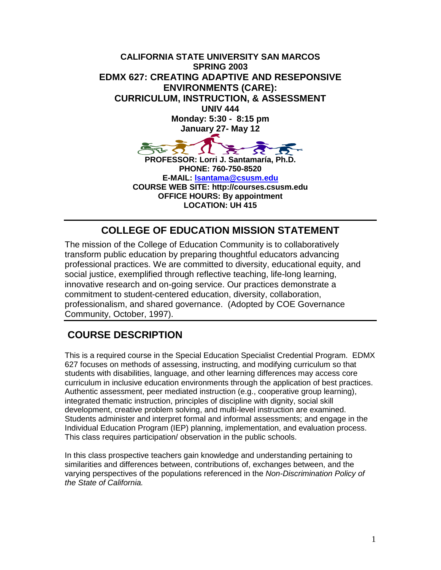

### **COLLEGE OF EDUCATION MISSION STATEMENT**

The mission of the College of Education Community is to collaboratively transform public education by preparing thoughtful educators advancing professional practices. We are committed to diversity, educational equity, and social justice, exemplified through reflective teaching, life-long learning, innovative research and on-going service. Our practices demonstrate a commitment to student-centered education, diversity, collaboration, professionalism, and shared governance. (Adopted by COE Governance Community, October, 1997).

## **COURSE DESCRIPTION**

This is a required course in the Special Education Specialist Credential Program. EDMX 627 focuses on methods of assessing, instructing, and modifying curriculum so that students with disabilities, language, and other learning differences may access core curriculum in inclusive education environments through the application of best practices. Authentic assessment, peer mediated instruction (e.g., cooperative group learning), integrated thematic instruction, principles of discipline with dignity, social skill development, creative problem solving, and multi-level instruction are examined. Students administer and interpret formal and informal assessments; and engage in the Individual Education Program (IEP) planning, implementation, and evaluation process. This class requires participation/ observation in the public schools.

In this class prospective teachers gain knowledge and understanding pertaining to similarities and differences between, contributions of, exchanges between, and the varying perspectives of the populations referenced in the *Non-Discrimination Policy of the State of California.*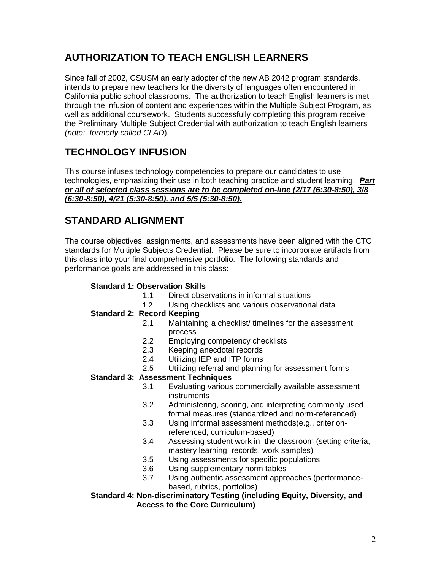### **AUTHORIZATION TO TEACH ENGLISH LEARNERS**

Since fall of 2002, CSUSM an early adopter of the new AB 2042 program standards, intends to prepare new teachers for the diversity of languages often encountered in California public school classrooms. The authorization to teach English learners is met through the infusion of content and experiences within the Multiple Subject Program, as well as additional coursework. Students successfully completing this program receive the Preliminary Multiple Subject Credential with authorization to teach English learners *(note: formerly called CLAD*).

### **TECHNOLOGY INFUSION**

This course infuses technology competencies to prepare our candidates to use technologies, emphasizing their use in both teaching practice and student learning. *Part or all of selected class sessions are to be completed on-line (2/17 (6:30-8:50), 3/8 (6:30-8:50), 4/21 (5:30-8:50), and 5/5 (5:30-8:50).*

### **STANDARD ALIGNMENT**

The course objectives, assignments, and assessments have been aligned with the CTC standards for Multiple Subjects Credential. Please be sure to incorporate artifacts from this class into your final comprehensive portfolio. The following standards and performance goals are addressed in this class:

#### **Standard 1: Observation Skills**

- 1.1 Direct observations in informal situations
- 1.2 Using checklists and various observational data

# **Standard 2: Record Keeping**<br>2.1 Maintaini

- Maintaining a checklist/ timelines for the assessment process
- 2.2 Employing competency checklists
- 2.3 Keeping anecdotal records
- 2.4 Utilizing IEP and ITP forms<br>2.5 Utilizing referral and plannir
- Utilizing referral and planning for assessment forms

#### **Standard 3: Assessment Techniques**

- 3.1 Evaluating various commercially available assessment **instruments**
- 3.2 Administering, scoring, and interpreting commonly used formal measures (standardized and norm-referenced)
- 3.3 Using informal assessment methods(e.g., criterionreferenced, curriculum-based)
- 3.4 Assessing student work in the classroom (setting criteria, mastery learning, records, work samples)
- 3.5 Using assessments for specific populations
- 3.6 Using supplementary norm tables
- 3.7 Using authentic assessment approaches (performancebased, rubrics, portfolios)

#### **Standard 4: Non-discriminatory Testing (including Equity, Diversity, and Access to the Core Curriculum)**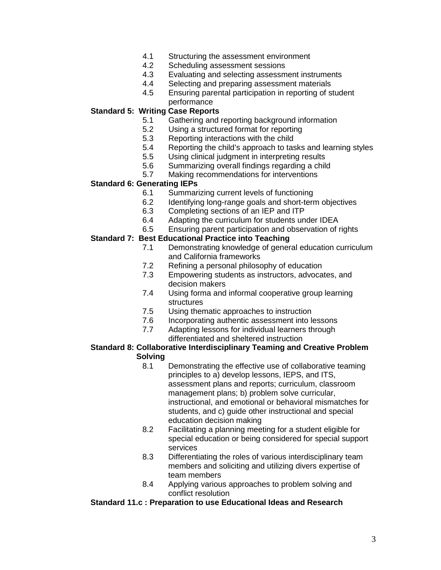- 4.1 Structuring the assessment environment<br>4.2 Scheduling assessment sessions
- Scheduling assessment sessions
- 4.3 Evaluating and selecting assessment instruments
- 4.4 Selecting and preparing assessment materials
- 4.5 Ensuring parental participation in reporting of student performance

#### **Standard 5: Writing Case Reports**

- 5.1 Gathering and reporting background information<br>5.2 Using a structured format for reporting
- 5.2 Using a structured format for reporting<br>5.3 Reporting interactions with the child
- 5.3 Reporting interactions with the child<br>5.4 Reporting the child's approach to tas
- Reporting the child's approach to tasks and learning styles
- 5.5 Using clinical judgment in interpreting results
- 5.6 Summarizing overall findings regarding a child
- 5.7 Making recommendations for interventions

#### **Standard 6: Generating IEPs**

- 6.1 Summarizing current levels of functioning<br>6.2 Identifying long-range goals and short-terr
- 6.2 Identifying long-range goals and short-term objectives<br>6.3 Completing sections of an IEP and ITP
- Completing sections of an IEP and ITP
- 6.4 Adapting the curriculum for students under IDEA
- 6.5 Ensuring parent participation and observation of rights

#### **Standard 7: Best Educational Practice into Teaching**

- 7.1 Demonstrating knowledge of general education curriculum and California frameworks
- 7.2 Refining a personal philosophy of education
- 7.3 Empowering students as instructors, advocates, and decision makers
- 7.4 Using forma and informal cooperative group learning **structures**
- 7.5 Using thematic approaches to instruction
- 7.6 Incorporating authentic assessment into lessons
- 7.7 Adapting lessons for individual learners through differentiated and sheltered instruction

#### **Standard 8: Collaborative Interdisciplinary Teaming and Creative Problem Solving**

- 8.1 Demonstrating the effective use of collaborative teaming principles to a) develop lessons, IEPS, and ITS, assessment plans and reports; curriculum, classroom management plans; b) problem solve curricular, instructional, and emotional or behavioral mismatches for students, and c) guide other instructional and special education decision making
- 8.2 Facilitating a planning meeting for a student eligible for special education or being considered for special support services
- 8.3 Differentiating the roles of various interdisciplinary team members and soliciting and utilizing divers expertise of team members
- 8.4 Applying various approaches to problem solving and conflict resolution

#### **Standard 11.c : Preparation to use Educational Ideas and Research**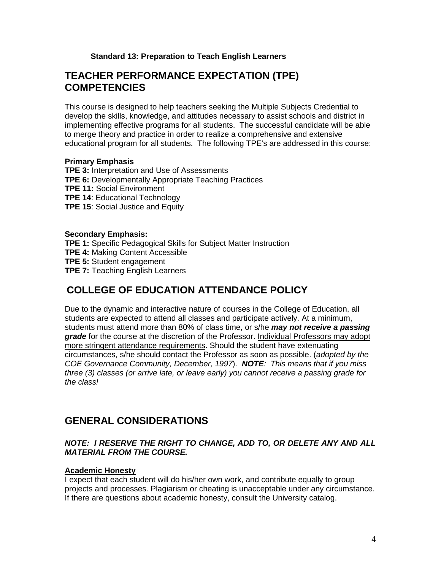#### **Standard 13: Preparation to Teach English Learners**

### **TEACHER PERFORMANCE EXPECTATION (TPE) COMPETENCIES**

This course is designed to help teachers seeking the Multiple Subjects Credential to develop the skills, knowledge, and attitudes necessary to assist schools and district in implementing effective programs for all students. The successful candidate will be able to merge theory and practice in order to realize a comprehensive and extensive educational program for all students. The following TPE's are addressed in this course:

#### **Primary Emphasis**

**TPE 3:** Interpretation and Use of Assessments **TPE 6:** Developmentally Appropriate Teaching Practices **TPE 11:** Social Environment **TPE 14**: Educational Technology **TPE 15**: Social Justice and Equity

#### **Secondary Emphasis:**

**TPE 1:** Specific Pedagogical Skills for Subject Matter Instruction **TPE 4:** Making Content Accessible **TPE 5:** Student engagement **TPE 7:** Teaching English Learners

### **COLLEGE OF EDUCATION ATTENDANCE POLICY**

Due to the dynamic and interactive nature of courses in the College of Education, all students are expected to attend all classes and participate actively. At a minimum, students must attend more than 80% of class time, or s/he *may not receive a passing grade* for the course at the discretion of the Professor. Individual Professors may adopt more stringent attendance requirements. Should the student have extenuating circumstances, s/he should contact the Professor as soon as possible. (*adopted by the COE Governance Community, December, 1997*). *NOTE: This means that if you miss three (3) classes (or arrive late, or leave early) you cannot receive a passing grade for the class!*

### **GENERAL CONSIDERATIONS**

#### *NOTE: I RESERVE THE RIGHT TO CHANGE, ADD TO, OR DELETE ANY AND ALL MATERIAL FROM THE COURSE.*

#### **Academic Honesty**

I expect that each student will do his/her own work, and contribute equally to group projects and processes. Plagiarism or cheating is unacceptable under any circumstance. If there are questions about academic honesty, consult the University catalog.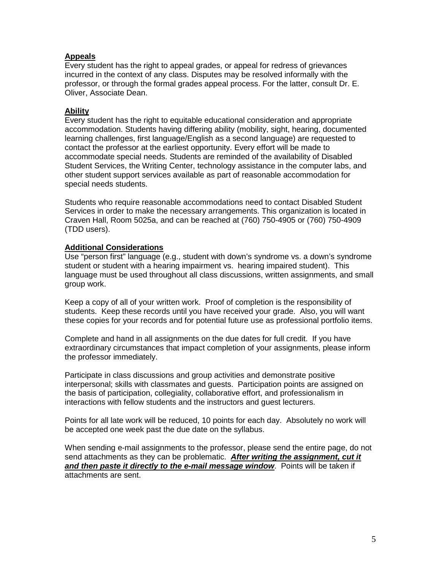#### **Appeals**

Every student has the right to appeal grades, or appeal for redress of grievances incurred in the context of any class. Disputes may be resolved informally with the professor, or through the formal grades appeal process. For the latter, consult Dr. E. Oliver, Associate Dean.

#### **Ability**

Every student has the right to equitable educational consideration and appropriate accommodation. Students having differing ability (mobility, sight, hearing, documented learning challenges, first language/English as a second language) are requested to contact the professor at the earliest opportunity. Every effort will be made to accommodate special needs. Students are reminded of the availability of Disabled Student Services, the Writing Center, technology assistance in the computer labs, and other student support services available as part of reasonable accommodation for special needs students.

Students who require reasonable accommodations need to contact Disabled Student Services in order to make the necessary arrangements. This organization is located in Craven Hall, Room 5025a, and can be reached at (760) 750-4905 or (760) 750-4909 (TDD users).

#### **Additional Considerations**

Use "person first" language (e.g., student with down's syndrome vs. a down's syndrome student or student with a hearing impairment vs. hearing impaired student). This language must be used throughout all class discussions, written assignments, and small group work.

Keep a copy of all of your written work. Proof of completion is the responsibility of students. Keep these records until you have received your grade. Also, you will want these copies for your records and for potential future use as professional portfolio items.

Complete and hand in all assignments on the due dates for full credit. If you have extraordinary circumstances that impact completion of your assignments, please inform the professor immediately.

Participate in class discussions and group activities and demonstrate positive interpersonal; skills with classmates and guests. Participation points are assigned on the basis of participation, collegiality, collaborative effort, and professionalism in interactions with fellow students and the instructors and guest lecturers.

Points for all late work will be reduced, 10 points for each day. Absolutely no work will be accepted one week past the due date on the syllabus.

When sending e-mail assignments to the professor, please send the entire page, do not send attachments as they can be problematic. *After writing the assignment, cut it and then paste it directly to the e-mail message window*. Points will be taken if attachments are sent.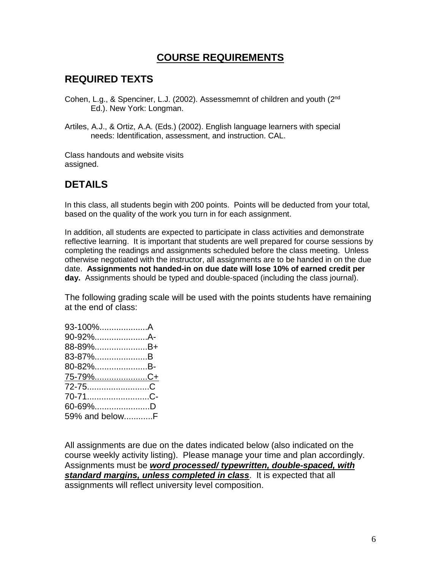### **COURSE REQUIREMENTS**

### **REQUIRED TEXTS**

Cohen, L.g., & Spenciner, L.J. (2002). Assessmemnt of children and youth (2<sup>nd</sup>) Ed.). New York: Longman.

Artiles, A.J., & Ortiz, A.A. (Eds.) (2002). English language learners with special needs: Identification, assessment, and instruction. CAL.

Class handouts and website visits assigned.

### **DETAILS**

In this class, all students begin with 200 points. Points will be deducted from your total, based on the quality of the work you turn in for each assignment.

In addition, all students are expected to participate in class activities and demonstrate reflective learning. It is important that students are well prepared for course sessions by completing the readings and assignments scheduled before the class meeting. Unless otherwise negotiated with the instructor, all assignments are to be handed in on the due date. **Assignments not handed-in on due date will lose 10% of earned credit per day.** Assignments should be typed and double-spaced (including the class journal).

The following grading scale will be used with the points students have remaining at the end of class:

| 93-100%A        |  |
|-----------------|--|
| 90-92%A-        |  |
| 88-89%B+        |  |
| 83-87%B         |  |
| 80-82%B-        |  |
| <u>75-79%C+</u> |  |
| 72-75C          |  |
| 70-71C-         |  |
| 60-69%D         |  |
|                 |  |
| 59% and belowF  |  |

All assignments are due on the dates indicated below (also indicated on the course weekly activity listing). Please manage your time and plan accordingly. Assignments must be *word processed/ typewritten, double-spaced, with standard margins, unless completed in class*. It is expected that all assignments will reflect university level composition.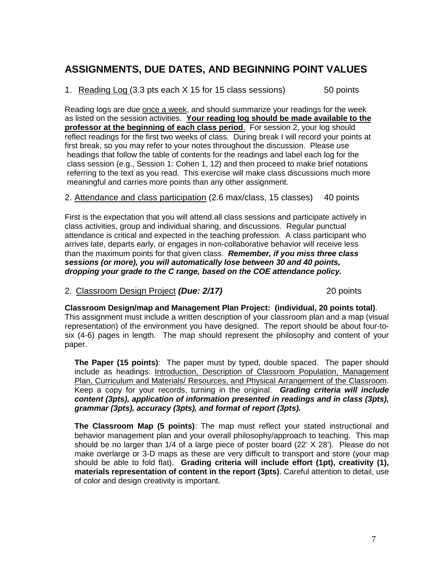### **ASSIGNMENTS, DUE DATES, AND BEGINNING POINT VALUES**

1. Reading Log (3.3 pts each X 15 for 15 class sessions) 50 points

Reading logs are due once a week, and should summarize your readings for the week as listed on the session activities. **Your reading log should be made available to the professor at the beginning of each class period**. For session 2, your log should reflect readings for the first two weeks of class. During break I will record your points at first break, so you may refer to your notes throughout the discussion. Please use headings that follow the table of contents for the readings and label each log for the class session (e.g., Session 1: Cohen 1, 12) and then proceed to make brief notations referring to the text as you read. This exercise will make class discussions much more meaningful and carries more points than any other assignment.

2. Attendance and class participation (2.6 max/class, 15 classes) 40 points

First is the expectation that you will attend all class sessions and participate actively in class activities, group and individual sharing, and discussions. Regular punctual attendance is critical and expected in the teaching profession. A class participant who arrives late, departs early, or engages in non-collaborative behavior will receive less than the maximum points for that given class. *Remember, if you miss three class sessions (or more), you will automatically lose between 30 and 40 points, dropping your grade to the C range, based on the COE attendance policy.*

2. Classroom Design Project *(Due: 2/17)* 20 points

**Classroom Design/map and Management Plan Project: (individual, 20 points total)**. This assignment must include a written description of your classroom plan and a map (visual representation) of the environment you have designed. The report should be about four-tosix (4-6) pages in length. The map should represent the philosophy and content of your paper.

**The Paper (15 points)**: The paper must by typed, double spaced. The paper should include as headings: Introduction, Description of Classroom Population, Management Plan, Curriculum and Materials/ Resources, and Physical Arrangement of the Classroom. Keep a copy for your records, turning in the original. *Grading criteria will include content (3pts), application of information presented in readings and in class (3pts), grammar (3pts), accuracy (3pts), and format of report (3pts).*

**The Classroom Map (5 points)**: The map must reflect your stated instructional and behavior management plan and your overall philosophy/approach to teaching. This map should be no larger than 1/4 of a large piece of poster board (22' X 28'). Please do not make overlarge or 3-D maps as these are very difficult to transport and store (your map should be able to fold flat). **Grading criteria will include effort (1pt), creativity (1), materials representation of content in the report (3pts)**. Careful attention to detail, use of color and design creativity is important.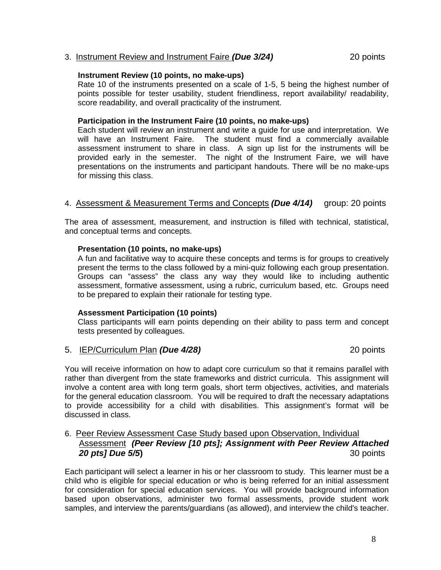#### 3. Instrument Review and Instrument Faire *(Due 3/24)* 20 points

#### **Instrument Review (10 points, no make-ups)**

Rate 10 of the instruments presented on a scale of 1-5, 5 being the highest number of points possible for tester usability, student friendliness, report availability/ readability, score readability, and overall practicality of the instrument.

#### **Participation in the Instrument Faire (10 points, no make-ups)**

Each student will review an instrument and write a guide for use and interpretation. We will have an Instrument Faire. The student must find a commercially available assessment instrument to share in class. A sign up list for the instruments will be provided early in the semester. The night of the Instrument Faire, we will have presentations on the instruments and participant handouts. There will be no make-ups for missing this class.

#### 4. Assessment & Measurement Terms and Concepts *(Due 4/14)* group: 20 points

The area of assessment, measurement, and instruction is filled with technical, statistical, and conceptual terms and concepts.

#### **Presentation (10 points, no make-ups)**

A fun and facilitative way to acquire these concepts and terms is for groups to creatively present the terms to the class followed by a mini-quiz following each group presentation. Groups can "assess" the class any way they would like to including authentic assessment, formative assessment, using a rubric, curriculum based, etc. Groups need to be prepared to explain their rationale for testing type.

#### **Assessment Participation (10 points)**

Class participants will earn points depending on their ability to pass term and concept tests presented by colleagues.

#### 5. IEP/Curriculum Plan *(Due 4/28)* 20 points

You will receive information on how to adapt core curriculum so that it remains parallel with rather than divergent from the state frameworks and district curricula. This assignment will involve a content area with long term goals, short term objectives, activities, and materials for the general education classroom. You will be required to draft the necessary adaptations to provide accessibility for a child with disabilities. This assignment's format will be discussed in class.

#### 6. Peer Review Assessment Case Study based upon Observation, Individual Assessment *(Peer Review [10 pts]; Assignment with Peer Review Attached 20 pts] Due 5/5***)** 30 points

Each participant will select a learner in his or her classroom to study. This learner must be a child who is eligible for special education or who is being referred for an initial assessment for consideration for special education services. You will provide background information based upon observations, administer two formal assessments, provide student work samples, and interview the parents/guardians (as allowed), and interview the child's teacher.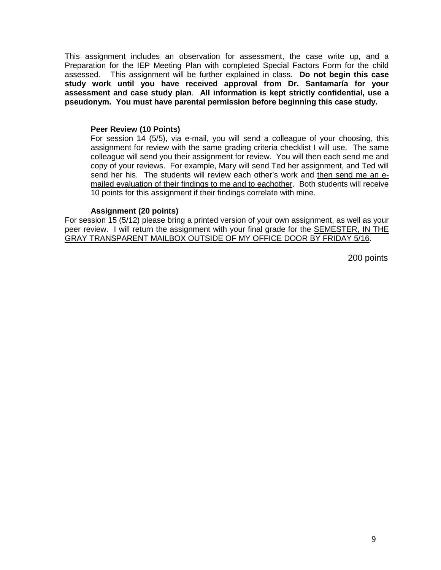This assignment includes an observation for assessment, the case write up, and a Preparation for the IEP Meeting Plan with completed Special Factors Form for the child assessed. This assignment will be further explained in class. **Do not begin this case study work until you have received approval from Dr. Santamaría for your assessment and case study plan**. **All information is kept strictly confidential, use a pseudonym. You must have parental permission before beginning this case study.**

#### **Peer Review (10 Points)**

For session 14 (5/5), via e-mail, you will send a colleague of your choosing, this assignment for review with the same grading criteria checklist I will use. The same colleague will send you their assignment for review. You will then each send me and copy of your reviews. For example, Mary will send Ted her assignment, and Ted will send her his. The students will review each other's work and then send me an emailed evaluation of their findings to me and to eachother. Both students will receive 10 points for this assignment if their findings correlate with mine.

#### **Assignment (20 points)**

For session 15 (5/12) please bring a printed version of your own assignment, as well as your peer review. I will return the assignment with your final grade for the SEMESTER, IN THE GRAY TRANSPARENT MAILBOX OUTSIDE OF MY OFFICE DOOR BY FRIDAY 5/16.

200 points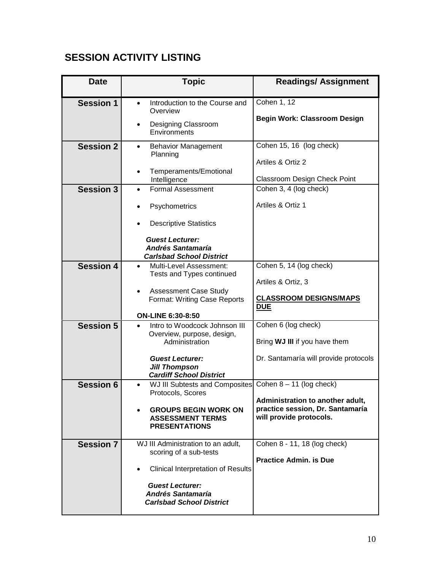### **SESSION ACTIVITY LISTING**

| <b>Date</b>      | <b>Topic</b>                                                                                                                                                                                             | <b>Readings/Assignment</b>                                                                                                    |
|------------------|----------------------------------------------------------------------------------------------------------------------------------------------------------------------------------------------------------|-------------------------------------------------------------------------------------------------------------------------------|
| <b>Session 1</b> | Introduction to the Course and<br>$\bullet$<br>Overview<br>Designing Classroom<br>Environments                                                                                                           | Cohen 1, 12<br><b>Begin Work: Classroom Design</b>                                                                            |
| <b>Session 2</b> | <b>Behavior Management</b><br>$\bullet$<br>Planning<br>Temperaments/Emotional<br>Intelligence                                                                                                            | Cohen 15, 16 (log check)<br>Artiles & Ortiz 2<br>Classroom Design Check Point                                                 |
| <b>Session 3</b> | Formal Assessment<br>$\bullet$<br>Psychometrics<br>٠<br><b>Descriptive Statistics</b><br><b>Guest Lecturer:</b><br><b>Andrés Santamaría</b><br><b>Carlsbad School District</b>                           | Cohen 3, 4 (log check)<br>Artiles & Ortiz 1                                                                                   |
| <b>Session 4</b> | Multi-Level Assessment:<br>$\bullet$<br>Tests and Types continued<br><b>Assessment Case Study</b><br>٠<br>Format: Writing Case Reports<br><b>ON-LINE 6:30-8:50</b>                                       | Cohen 5, 14 (log check)<br>Artiles & Ortiz, 3<br><b>CLASSROOM DESIGNS/MAPS</b><br><b>DUE</b>                                  |
| <b>Session 5</b> | Intro to Woodcock Johnson III<br>Overview, purpose, design,<br>Administration<br><b>Guest Lecturer:</b><br><b>Jill Thompson</b><br><b>Cardiff School District</b>                                        | Cohen 6 (log check)<br>Bring WJ III if you have them<br>Dr. Santamaría will provide protocols                                 |
| <b>Session 6</b> | WJ III Subtests and Composites<br>Protocols, Scores<br><b>GROUPS BEGIN WORK ON</b><br><b>ASSESSMENT TERMS</b><br><b>PRESENTATIONS</b>                                                                    | Cohen $8 - 11$ (log check)<br>Administration to another adult,<br>practice session, Dr. Santamaría<br>will provide protocols. |
| <b>Session 7</b> | WJ III Administration to an adult,<br>scoring of a sub-tests<br><b>Clinical Interpretation of Results</b><br>$\bullet$<br><b>Guest Lecturer:</b><br>Andrés Santamaría<br><b>Carlsbad School District</b> | Cohen 8 - 11, 18 (log check)<br><b>Practice Admin. is Due</b>                                                                 |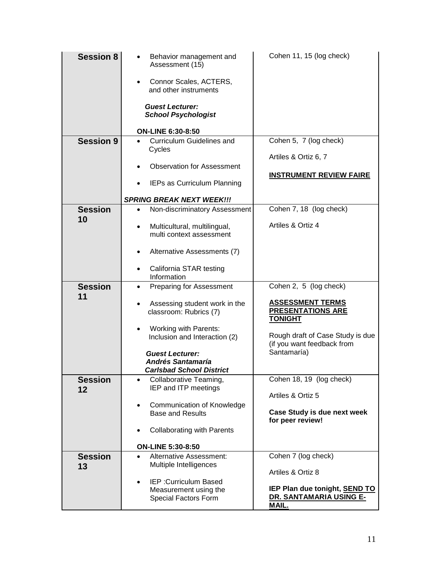| <b>Session 8</b>     | Behavior management and<br>Assessment (15)           | Cohen 11, 15 (log check)                        |
|----------------------|------------------------------------------------------|-------------------------------------------------|
|                      | Connor Scales, ACTERS,<br>and other instruments      |                                                 |
|                      | <b>Guest Lecturer:</b><br><b>School Psychologist</b> |                                                 |
|                      |                                                      |                                                 |
|                      | <b>ON-LINE 6:30-8:50</b>                             |                                                 |
| <b>Session 9</b>     | <b>Curriculum Guidelines and</b><br>Cycles           | Cohen 5, 7 (log check)                          |
|                      |                                                      | Artiles & Ortiz 6, 7                            |
|                      | <b>Observation for Assessment</b>                    |                                                 |
|                      |                                                      | <b>INSTRUMENT REVIEW FAIRE</b>                  |
|                      | IEPs as Curriculum Planning                          |                                                 |
|                      | <b>SPRING BREAK NEXT WEEK!!!</b>                     |                                                 |
| <b>Session</b>       | Non-discriminatory Assessment<br>$\bullet$           | Cohen 7, 18 (log check)                         |
| 10                   | Multicultural, multilingual,<br>$\bullet$            | Artiles & Ortiz 4                               |
|                      | multi context assessment                             |                                                 |
|                      | Alternative Assessments (7)                          |                                                 |
|                      |                                                      |                                                 |
|                      | California STAR testing<br>Information               |                                                 |
| <b>Session</b>       | Preparing for Assessment<br>$\bullet$                | Cohen 2, 5 (log check)                          |
| 11                   | Assessing student work in the                        | <b>ASSESSMENT TERMS</b>                         |
|                      | classroom: Rubrics (7)                               | PRESENTATIONS ARE<br><b>TONIGHT</b>             |
|                      | <b>Working with Parents:</b><br>$\bullet$            |                                                 |
|                      | Inclusion and Interaction (2)                        | Rough draft of Case Study is due                |
|                      | <b>Guest Lecturer:</b>                               | (if you want feedback from<br>Santamaría)       |
|                      | <b>Andrés Santamaría</b>                             |                                                 |
|                      | <b>Carlsbad School District</b>                      |                                                 |
| <b>Session</b>       | Collaborative Teaming,<br>$\bullet$                  | Cohen 18, 19 (log check)                        |
| 12                   | IEP and ITP meetings                                 | Artiles & Ortiz 5                               |
|                      | Communication of Knowledge                           |                                                 |
|                      | <b>Base and Results</b>                              | Case Study is due next week<br>for peer review! |
|                      | <b>Collaborating with Parents</b>                    |                                                 |
|                      |                                                      |                                                 |
|                      | <b>ON-LINE 5:30-8:50</b>                             |                                                 |
| <b>Session</b><br>13 | Alternative Assessment:<br>Multiple Intelligences    | Cohen 7 (log check)<br>Artiles & Ortiz 8        |
|                      | <b>IEP: Curriculum Based</b><br>$\bullet$            |                                                 |
|                      | Measurement using the                                | IEP Plan due tonight, SEND TO                   |
|                      | Special Factors Form                                 | DR. SANTAMARIA USING E-<br>MAIL.                |